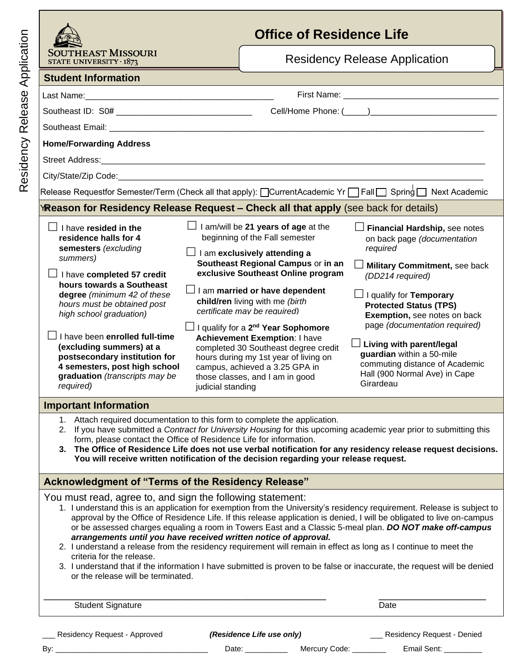|                 | Sout<br><b>STATE</b> |
|-----------------|----------------------|
|                 | <b>Stude</b>         |
| 9S              | Last Na              |
| ັດ<br>$\vec{0}$ | Southea              |
| ᢍ<br>≃          | Southea              |
|                 | Home/F               |
| dency           | Street A             |
| ์ดิ<br>Φ        | City/Sta             |
|                 | Release              |
|                 |                      |

## **Office of Residence Life**

| SOUTHEAST MISSOURI<br>STATE UNIVERSITY $\cdot$ 1873                                                                                                                                                                                                                                                                                                                                                                                                                               |                                                                                                                                                                                                                                                                                                                                                                                                                                                                                                                                                               | <b>Residency Release Application</b>                                                                                                                                                                                                                                                                                                                                                                              |
|-----------------------------------------------------------------------------------------------------------------------------------------------------------------------------------------------------------------------------------------------------------------------------------------------------------------------------------------------------------------------------------------------------------------------------------------------------------------------------------|---------------------------------------------------------------------------------------------------------------------------------------------------------------------------------------------------------------------------------------------------------------------------------------------------------------------------------------------------------------------------------------------------------------------------------------------------------------------------------------------------------------------------------------------------------------|-------------------------------------------------------------------------------------------------------------------------------------------------------------------------------------------------------------------------------------------------------------------------------------------------------------------------------------------------------------------------------------------------------------------|
| <b>Student Information</b>                                                                                                                                                                                                                                                                                                                                                                                                                                                        |                                                                                                                                                                                                                                                                                                                                                                                                                                                                                                                                                               |                                                                                                                                                                                                                                                                                                                                                                                                                   |
|                                                                                                                                                                                                                                                                                                                                                                                                                                                                                   |                                                                                                                                                                                                                                                                                                                                                                                                                                                                                                                                                               |                                                                                                                                                                                                                                                                                                                                                                                                                   |
|                                                                                                                                                                                                                                                                                                                                                                                                                                                                                   |                                                                                                                                                                                                                                                                                                                                                                                                                                                                                                                                                               |                                                                                                                                                                                                                                                                                                                                                                                                                   |
|                                                                                                                                                                                                                                                                                                                                                                                                                                                                                   |                                                                                                                                                                                                                                                                                                                                                                                                                                                                                                                                                               |                                                                                                                                                                                                                                                                                                                                                                                                                   |
| <b>Home/Forwarding Address</b>                                                                                                                                                                                                                                                                                                                                                                                                                                                    |                                                                                                                                                                                                                                                                                                                                                                                                                                                                                                                                                               |                                                                                                                                                                                                                                                                                                                                                                                                                   |
| Street Address: Maria Communication and Address: Maria Communication and Address:                                                                                                                                                                                                                                                                                                                                                                                                 |                                                                                                                                                                                                                                                                                                                                                                                                                                                                                                                                                               |                                                                                                                                                                                                                                                                                                                                                                                                                   |
|                                                                                                                                                                                                                                                                                                                                                                                                                                                                                   |                                                                                                                                                                                                                                                                                                                                                                                                                                                                                                                                                               |                                                                                                                                                                                                                                                                                                                                                                                                                   |
|                                                                                                                                                                                                                                                                                                                                                                                                                                                                                   |                                                                                                                                                                                                                                                                                                                                                                                                                                                                                                                                                               |                                                                                                                                                                                                                                                                                                                                                                                                                   |
| YReason for Residency Release Request - Check all that apply (see back for details)                                                                                                                                                                                                                                                                                                                                                                                               |                                                                                                                                                                                                                                                                                                                                                                                                                                                                                                                                                               |                                                                                                                                                                                                                                                                                                                                                                                                                   |
| $\Box$ I have resided in the<br>residence halls for 4<br>semesters (excluding<br>summers)<br>$\Box$ I have completed 57 credit<br>hours towards a Southeast<br>degree (minimum 42 of these<br>hours must be obtained post<br>high school graduation)<br>$\Box$ I have been enrolled full-time<br>(excluding summers) at a<br>postsecondary institution for<br>4 semesters, post high school<br>graduation (transcripts may be<br>required)<br>judicial standing                   | $\Box$ I am/will be 21 years of age at the<br>beginning of the Fall semester<br>$\Box$ I am exclusively attending a<br>Southeast Regional Campus or in an<br>exclusive Southeast Online program<br>$\Box$ I am married or have dependent<br>child/ren living with me (birth<br>certificate may be required)<br>J I qualify for a 2 <sup>nd</sup> Year Sophomore<br><b>Achievement Exemption: I have</b><br>completed 30 Southeast degree credit<br>hours during my 1st year of living on<br>campus, achieved a 3.25 GPA in<br>those classes, and I am in good | Financial Hardship, see notes<br>on back page (documentation<br>required<br>Military Commitment, see back<br>(DD214 required)<br>$\Box$ I qualify for Temporary<br><b>Protected Status (TPS)</b><br>Exemption, see notes on back<br>page (documentation required)<br>$\Box$ Living with parent/legal<br>guardian within a 50-mile<br>commuting distance of Academic<br>Hall (900 Normal Ave) in Cape<br>Girardeau |
| <b>Important Information</b>                                                                                                                                                                                                                                                                                                                                                                                                                                                      |                                                                                                                                                                                                                                                                                                                                                                                                                                                                                                                                                               |                                                                                                                                                                                                                                                                                                                                                                                                                   |
| 1. Attach required documentation to this form to complete the application.<br>2. If you have submitted a Contract for University Housing for this upcoming academic year prior to submitting this<br>form, please contact the Office of Residence Life for information.<br>3. The Office of Residence Life does not use verbal notification for any residency release request decisions.<br>You will receive written notification of the decision regarding your release request. |                                                                                                                                                                                                                                                                                                                                                                                                                                                                                                                                                               |                                                                                                                                                                                                                                                                                                                                                                                                                   |
| Acknowledgment of "Terms of the Residency Release"                                                                                                                                                                                                                                                                                                                                                                                                                                |                                                                                                                                                                                                                                                                                                                                                                                                                                                                                                                                                               |                                                                                                                                                                                                                                                                                                                                                                                                                   |

You must read, agree to, and sign the following statement:

| 1. I understand this is an application for exemption from the University's residency requirement. Release is subject to |
|-------------------------------------------------------------------------------------------------------------------------|
| approval by the Office of Residence Life. If this release application is denied, I will be obligated to live on-campus  |
| or be assessed charges equaling a room in Towers East and a Classic 5-meal plan. DO NOT make off-campus                 |
| arrangements until you have received written notice of approval.                                                        |

- 2. I understand a release from the residency requirement will remain in effect as long as I continue to meet the criteria for the release.
- 3. I understand that if the information I have submitted is proven to be false or inaccurate, the request will be denied or the release will be terminated.

en allem to the student Signature contract the student Signature contract of the student Signature contract of the Date

\_\_\_ Residency Request - Approved *(Residence Life use only)* \_\_\_ Residency Request - Denied

By: \_\_\_\_\_\_\_\_\_\_\_\_\_\_\_\_\_\_\_\_\_\_\_\_\_\_\_\_\_\_\_\_\_\_\_\_ Date: \_\_\_\_\_\_\_\_\_\_ Mercury Code: \_\_\_\_\_\_\_\_ Email Sent: \_\_\_\_\_\_\_\_\_